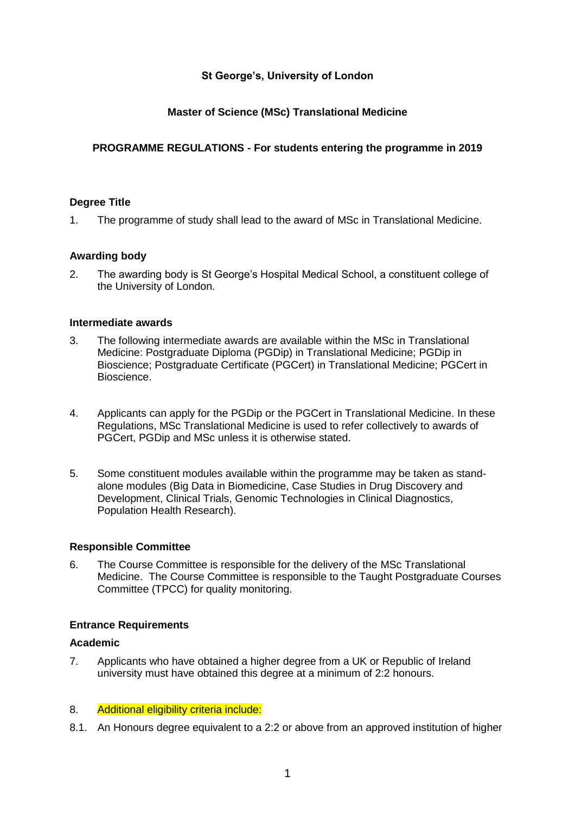# **St George's, University of London**

# **Master of Science (MSc) Translational Medicine**

# **PROGRAMME REGULATIONS - For students entering the programme in 2019**

### **Degree Title**

1. The programme of study shall lead to the award of MSc in Translational Medicine.

### **Awarding body**

2. The awarding body is St George's Hospital Medical School, a constituent college of the University of London.

### **Intermediate awards**

- 3. The following intermediate awards are available within the MSc in Translational Medicine: Postgraduate Diploma (PGDip) in Translational Medicine; PGDip in Bioscience; Postgraduate Certificate (PGCert) in Translational Medicine; PGCert in Bioscience.
- 4. Applicants can apply for the PGDip or the PGCert in Translational Medicine. In these Regulations, MSc Translational Medicine is used to refer collectively to awards of PGCert, PGDip and MSc unless it is otherwise stated.
- 5. Some constituent modules available within the programme may be taken as standalone modules (Big Data in Biomedicine, Case Studies in Drug Discovery and Development, Clinical Trials, Genomic Technologies in Clinical Diagnostics, Population Health Research).

### **Responsible Committee**

6. The Course Committee is responsible for the delivery of the MSc Translational Medicine. The Course Committee is responsible to the Taught Postgraduate Courses Committee (TPCC) for quality monitoring.

# **Entrance Requirements**

### **Academic**

7. Applicants who have obtained a higher degree from a UK or Republic of Ireland university must have obtained this degree at a minimum of 2:2 honours.

# 8. Additional eligibility criteria include:

8.1. An Honours degree equivalent to a 2:2 or above from an approved institution of higher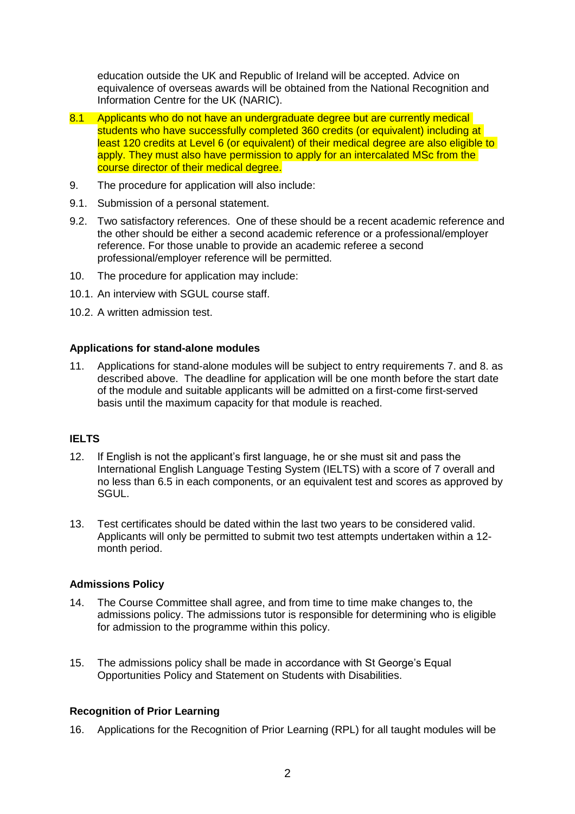education outside the UK and Republic of Ireland will be accepted. Advice on equivalence of overseas awards will be obtained from the National Recognition and Information Centre for the UK (NARIC).

- 8.1 Applicants who do not have an undergraduate degree but are currently medical students who have successfully completed 360 credits (or equivalent) including at least 120 credits at Level 6 (or equivalent) of their medical degree are also eligible to apply. They must also have permission to apply for an intercalated MSc from the course director of their medical degree.
- 9. The procedure for application will also include:
- 9.1. Submission of a personal statement.
- 9.2. Two satisfactory references. One of these should be a recent academic reference and the other should be either a second academic reference or a professional/employer reference. For those unable to provide an academic referee a second professional/employer reference will be permitted.
- 10. The procedure for application may include:
- 10.1. An interview with SGUL course staff.
- 10.2. A written admission test.

### **Applications for stand-alone modules**

11. Applications for stand-alone modules will be subject to entry requirements 7. and 8. as described above. The deadline for application will be one month before the start date of the module and suitable applicants will be admitted on a first-come first-served basis until the maximum capacity for that module is reached.

# **IELTS**

- 12. If English is not the applicant's first language, he or she must sit and pass the International English Language Testing System (IELTS) with a score of 7 overall and no less than 6.5 in each components, or an equivalent test and scores as approved by SGUL.
- 13. Test certificates should be dated within the last two years to be considered valid. Applicants will only be permitted to submit two test attempts undertaken within a 12 month period.

### **Admissions Policy**

- 14. The Course Committee shall agree, and from time to time make changes to, the admissions policy. The admissions tutor is responsible for determining who is eligible for admission to the programme within this policy.
- 15. The admissions policy shall be made in accordance with St George's Equal Opportunities Policy and Statement on Students with Disabilities.

# **Recognition of Prior Learning**

16. Applications for the Recognition of Prior Learning (RPL) for all taught modules will be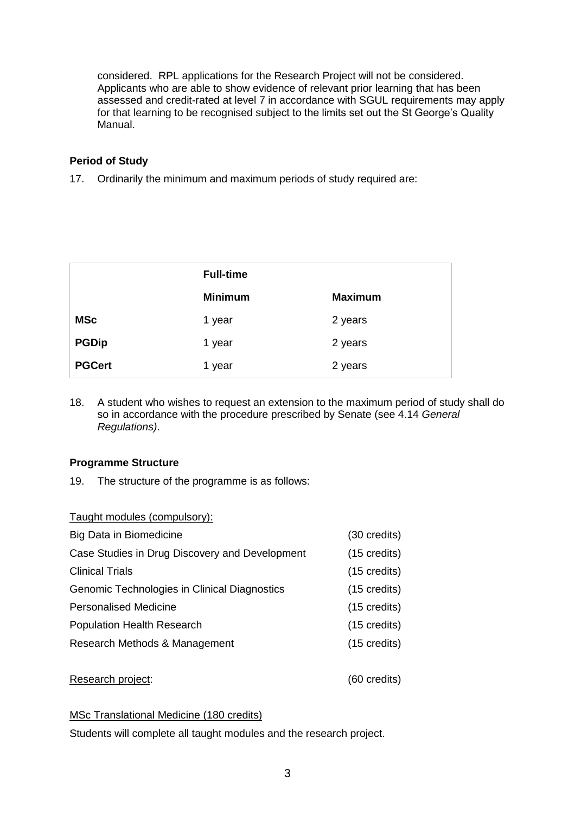considered. RPL applications for the Research Project will not be considered. Applicants who are able to show evidence of relevant prior learning that has been assessed and credit-rated at level 7 in accordance with SGUL requirements may apply for that learning to be recognised subject to the limits set out the St George's Quality Manual.

# **Period of Study**

17. Ordinarily the minimum and maximum periods of study required are:

|               | <b>Full-time</b> |                |
|---------------|------------------|----------------|
|               | <b>Minimum</b>   | <b>Maximum</b> |
| <b>MSc</b>    | 1 year           | 2 years        |
| <b>PGDip</b>  | 1 year           | 2 years        |
| <b>PGCert</b> | 1 year           | 2 years        |

18. A student who wishes to request an extension to the maximum period of study shall do so in accordance with the procedure prescribed by Senate (see 4.14 *General Regulations)*.

# **Programme Structure**

19. The structure of the programme is as follows:

| Taught modules (compulsory):                   |                        |
|------------------------------------------------|------------------------|
| Big Data in Biomedicine                        | $(30 \text{ credits})$ |
| Case Studies in Drug Discovery and Development | $(15 \text{ credits})$ |
| <b>Clinical Trials</b>                         | $(15 \text{ credits})$ |
| Genomic Technologies in Clinical Diagnostics   | $(15 \text{ credits})$ |
| <b>Personalised Medicine</b>                   | $(15 \text{ credits})$ |
| <b>Population Health Research</b>              | $(15 \text{ credits})$ |
| Research Methods & Management                  | $(15 \text{ credits})$ |
|                                                |                        |

Research project: (60 credits)

# MSc Translational Medicine (180 credits)

Students will complete all taught modules and the research project.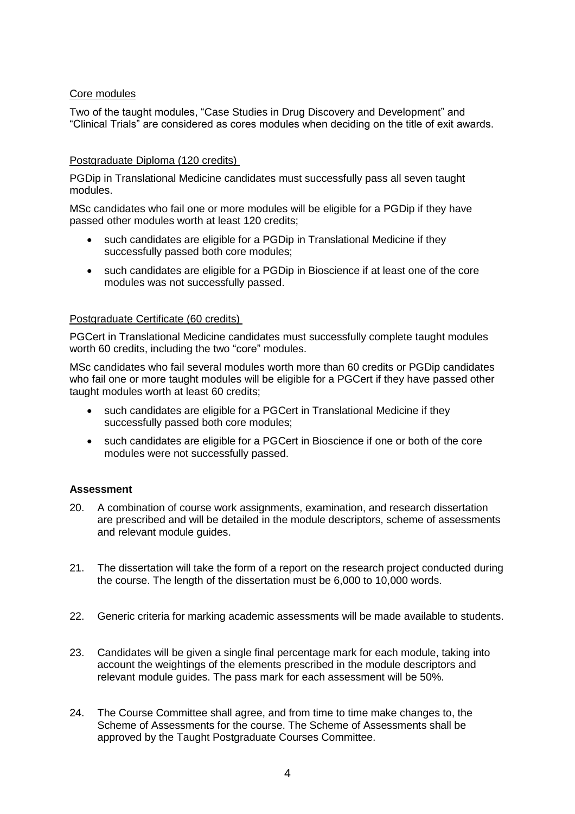### Core modules

Two of the taught modules, "Case Studies in Drug Discovery and Development" and "Clinical Trials" are considered as cores modules when deciding on the title of exit awards.

### Postgraduate Diploma (120 credits)

PGDip in Translational Medicine candidates must successfully pass all seven taught modules.

MSc candidates who fail one or more modules will be eligible for a PGDip if they have passed other modules worth at least 120 credits;

- such candidates are eligible for a PGDip in Translational Medicine if they successfully passed both core modules;
- such candidates are eligible for a PGDip in Bioscience if at least one of the core modules was not successfully passed.

### Postgraduate Certificate (60 credits)

PGCert in Translational Medicine candidates must successfully complete taught modules worth 60 credits, including the two "core" modules.

MSc candidates who fail several modules worth more than 60 credits or PGDip candidates who fail one or more taught modules will be eligible for a PGCert if they have passed other taught modules worth at least 60 credits;

- such candidates are eligible for a PGCert in Translational Medicine if they successfully passed both core modules;
- such candidates are eligible for a PGCert in Bioscience if one or both of the core modules were not successfully passed.

# **Assessment**

- 20. A combination of course work assignments, examination, and research dissertation are prescribed and will be detailed in the module descriptors, scheme of assessments and relevant module guides.
- 21. The dissertation will take the form of a report on the research project conducted during the course. The length of the dissertation must be 6,000 to 10,000 words.
- 22. Generic criteria for marking academic assessments will be made available to students.
- 23. Candidates will be given a single final percentage mark for each module, taking into account the weightings of the elements prescribed in the module descriptors and relevant module guides. The pass mark for each assessment will be 50%.
- 24. The Course Committee shall agree, and from time to time make changes to, the Scheme of Assessments for the course. The Scheme of Assessments shall be approved by the Taught Postgraduate Courses Committee.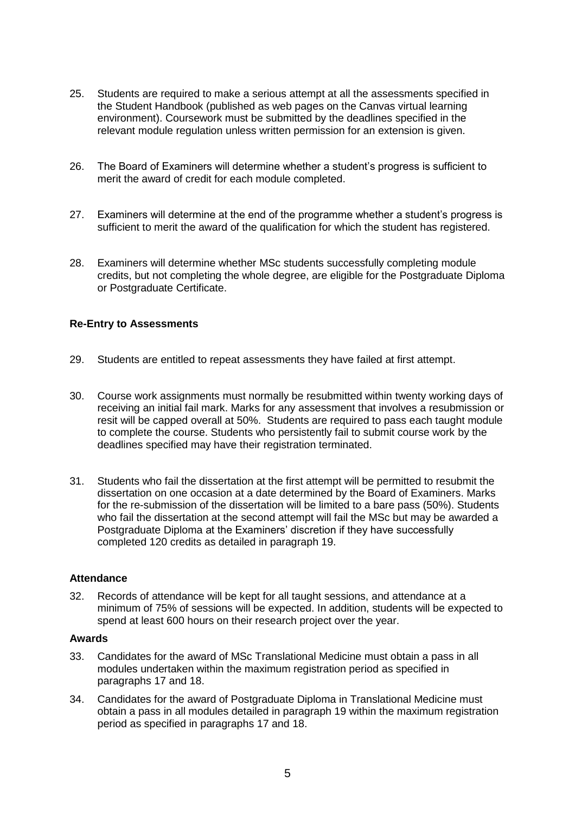- 25. Students are required to make a serious attempt at all the assessments specified in the Student Handbook (published as web pages on the Canvas virtual learning environment). Coursework must be submitted by the deadlines specified in the relevant module regulation unless written permission for an extension is given.
- 26. The Board of Examiners will determine whether a student's progress is sufficient to merit the award of credit for each module completed.
- 27. Examiners will determine at the end of the programme whether a student's progress is sufficient to merit the award of the qualification for which the student has registered.
- 28. Examiners will determine whether MSc students successfully completing module credits, but not completing the whole degree, are eligible for the Postgraduate Diploma or Postgraduate Certificate.

# **Re-Entry to Assessments**

- 29. Students are entitled to repeat assessments they have failed at first attempt.
- 30. Course work assignments must normally be resubmitted within twenty working days of receiving an initial fail mark. Marks for any assessment that involves a resubmission or resit will be capped overall at 50%. Students are required to pass each taught module to complete the course. Students who persistently fail to submit course work by the deadlines specified may have their registration terminated.
- 31. Students who fail the dissertation at the first attempt will be permitted to resubmit the dissertation on one occasion at a date determined by the Board of Examiners. Marks for the re-submission of the dissertation will be limited to a bare pass (50%). Students who fail the dissertation at the second attempt will fail the MSc but may be awarded a Postgraduate Diploma at the Examiners' discretion if they have successfully completed 120 credits as detailed in paragraph 19.

### **Attendance**

32. Records of attendance will be kept for all taught sessions, and attendance at a minimum of 75% of sessions will be expected. In addition, students will be expected to spend at least 600 hours on their research project over the year.

### **Awards**

- 33. Candidates for the award of MSc Translational Medicine must obtain a pass in all modules undertaken within the maximum registration period as specified in paragraphs 17 and 18.
- 34. Candidates for the award of Postgraduate Diploma in Translational Medicine must obtain a pass in all modules detailed in paragraph 19 within the maximum registration period as specified in paragraphs 17 and 18.